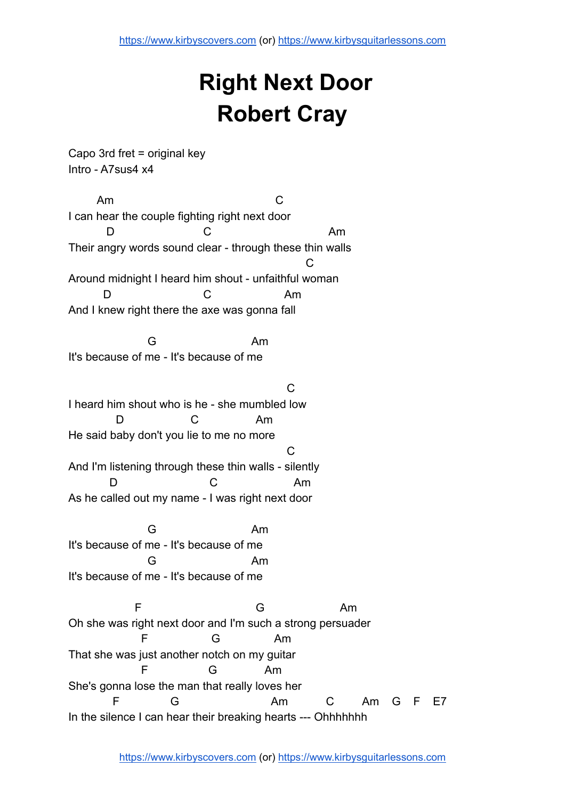## **Right Next Door Robert Cray**

Capo 3rd fret = original key Intro - A7sus4 x4

Am C I can hear the couple fighting right next door D C Am Their angry words sound clear - through these thin walls  $\mathcal{C}$ Around midnight I heard him shout - unfaithful woman D C Am And I knew right there the axe was gonna fall

G Am It's because of me - It's because of me

C I heard him shout who is he - she mumbled low D C Am He said baby don't you lie to me no more  $\mathcal{C}$ And I'm listening through these thin walls - silently D C Am As he called out my name - I was right next door

G Am It's because of me - It's because of me G Am It's because of me - It's because of me

F G Am Oh she was right next door and I'm such a strong persuader F G Am That she was just another notch on my guitar F G Am She's gonna lose the man that really loves her F G Am C Am G F E7 In the silence I can hear their breaking hearts --- Ohhhhhhh